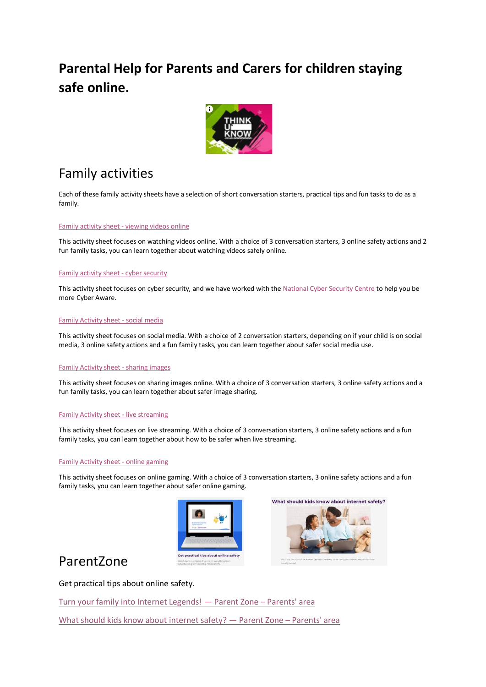### **Parental Help for Parents and Carers for children staying safe online.**



### Family activities

Each of these family activity sheets have a selection of short conversation starters, practical tips and fun tasks to do as a family.

#### [Family activity sheet -](https://www.thinkuknow.co.uk/globalassets/thinkuknow/parents/family-activity-sheet---viewing-videos-online.pdf) viewing videos online

This activity sheet focuses on watching videos online. With a choice of 3 conversation starters, 3 online safety actions and 2 fun family tasks, you can learn together about watching videos safely online.

#### [Family activity sheet -](https://www.thinkuknow.co.uk/globalassets/thinkuknow/documents/thinkuknow/parents/pdf/activity-sheet-cyber-security.pdf) cyber security

This activity sheet focuses on cyber security, and we have worked with the [National Cyber Security Centre](https://www.ncsc.gov.uk/cyberaware/home) to help you be more Cyber Aware.

#### [Family Activity sheet -](https://www.thinkuknow.co.uk/globalassets/thinkuknow/documents/thinkuknow/parents/pdf/parent-pdf/activity-sheet-social-media.pdf) social media

This activity sheet focuses on social media. With a choice of 2 conversation starters, depending on if your child is on social media, 3 online safety actions and a fun family tasks, you can learn together about safer social media use.

#### [Family Activity sheet -](https://www.thinkuknow.co.uk/globalassets/thinkuknow/documents/thinkuknow/parents/pdf/parent-pdf/activity-sheet-sharing-images.pdf) sharing images

This activity sheet focuses on sharing images online. With a choice of 3 conversation starters, 3 online safety actions and a fun family tasks, you can learn together about safer image sharing.

#### [Family Activity sheet -](https://www.thinkuknow.co.uk/globalassets/thinkuknow/documents/thinkuknow/parents/pdf/parent-pdf/activity-sheet-livestreaming.pdf) live streaming

This activity sheet focuses on live streaming. With a choice of 3 conversation starters, 3 online safety actions and a fun family tasks, you can learn together about how to be safer when live streaming.

#### [Family Activity sheet -](https://www.thinkuknow.co.uk/globalassets/thinkuknow/documents/thinkuknow/parents/pdf/parent-pdf/activity-sheet-gaming.pdf) online gaming

This activity sheet focuses on online gaming. With a choice of 3 conversation starters, 3 online safety actions and a fun family tasks, you can learn together about safer online gaming.





### Parent Zone<br>New York Marian School of the Safety

#### Get practical tips about online safety.

[Turn your family into Internet Legends!](https://www.parents.parentzone.org.uk/legendaryparent) — Parent Zone – Parents' area

[What should kids know about internet safety?](https://www.parents.parentzone.org.uk/morearticles/what-would-schools-normally-be-telling-children-about-internet-safety) — Parent Zone – Parents' area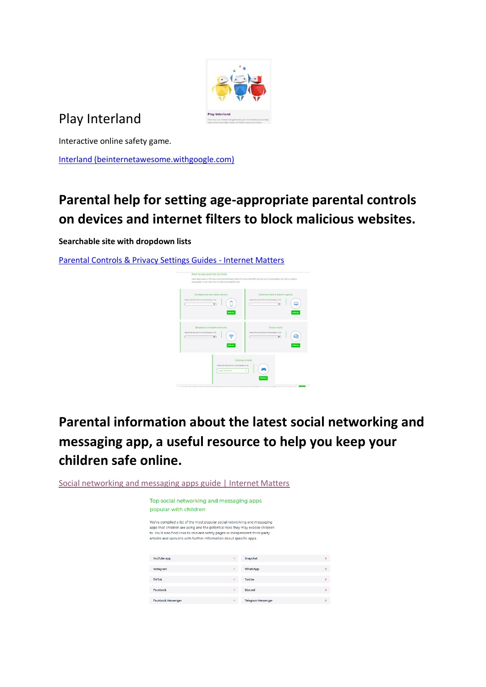

## Play Interland

Interactive online safety game.

[Interland \(beinternetawesome.withgoogle.com\)](https://beinternetawesome.withgoogle.com/en_uk/interland)

## **Parental help for setting age-appropriate parental controls on devices and internet filters to block malicious websites.**

**Searchable site with dropdown lists**

[Parental Controls & Privacy Settings Guides -](https://www.internetmatters.org/parental-controls/) Internet Matters



# **Parental information about the latest social networking and messaging app, a useful resource to help you keep your children safe online.**

[Social networking and messaging apps guide | Internet Matters](https://www.internetmatters.org/resources/apps-guide/social-networking-and-messaging-apps/)

| Top social networking and messaging apps<br>popular with children                                                                                                                                                                                                                                                   |   |                           |
|---------------------------------------------------------------------------------------------------------------------------------------------------------------------------------------------------------------------------------------------------------------------------------------------------------------------|---|---------------------------|
| We've compiled a list of the most popular social networking and messaging<br>apps that children are using and the potential risks they may expose children<br>to. You'll also find links to relevant safety pages or independent third-party<br>articles and opinions with further information about specific apps. |   |                           |
| YouTube app                                                                                                                                                                                                                                                                                                         |   | Snapchat                  |
| Instagram                                                                                                                                                                                                                                                                                                           |   | WhatsApp                  |
| <b>TikTok</b>                                                                                                                                                                                                                                                                                                       |   | Twitter                   |
| Facebook                                                                                                                                                                                                                                                                                                            |   | Discord                   |
| <b>Facebook Messenger</b>                                                                                                                                                                                                                                                                                           | ٠ | <b>Telegram Messenger</b> |

 $\sim$  100

 $\sim 100$  $\sim$   $-$